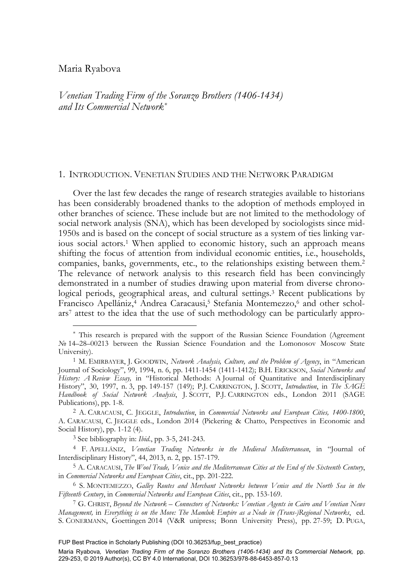## Maria Ryabova

-

*Venetian Trading Firm of the Soranzo Brothers (1406-1434) and Its Commercial Network\**

## 1. INTRODUCTION. VENETIAN STUDIES AND THE NETWORK PARADIGM

Over the last few decades the range of research strategies available to historians has been considerably broadened thanks to the adoption of methods employed in other branches of science. These include but are not limited to the methodology of social network analysis (SNA), which has been developed by sociologists since mid-1950s and is based on the concept of social structure as a system of ties linking various social actors.1 When applied to economic history, such an approach means shifting the focus of attention from individual economic entities, i.e., households, companies, banks, governments, etc., to the relationships existing between them.2 The relevance of network analysis to this research field has been convincingly demonstrated in a number of studies drawing upon material from diverse chronological periods, geographical areas, and cultural settings.3 Recent publications by Francisco Apellániz,<sup>4</sup> Andrea Caracausi,<sup>5</sup> Stefania Montemezzo,<sup>6</sup> and other scholars7 attest to the idea that the use of such methodology can be particularly appro-

<sup>\*</sup> This research is prepared with the support of the Russian Science Foundation (Agreement № 14–28–00213 between the Russian Science Foundation and the Lomonosov Moscow State University).<br><sup>1</sup> M. EMIRBAYER, J. GOODWIN, *Network Analysis, Culture, and the Problem of Agency*, in "American

Journal of Sociology", 99, 1994, n. 6, pp. 1411-1454 (1411-1412); B.H. ERICKSON, *Social Networks and History: A Review Essay,* in "Historical Methods: A Journal of Quantitative and Interdisciplinary History", 30, 1997, n. 3, pp. 149-157 (149); P.J. CARRINGTON, J. SCOTT, *Introduction*, in *The SAGE Handbook of Social Network Analysis*, J. SCOTT, P.J. CARRINGTON eds., London 2011 (SAGE Publications), pp. 1-8. 2 A. CARACAUSI, C. JEGGLE, *Introduction*, in *Commercial Networks and European Cities, 1400-1800*,

A. CARACAUSI, C. JEGGLE eds., London 2014 (Pickering & Chatto, Perspectives in Economic and Social History), pp. 1-12 (4).

<sup>3</sup> See bibliography in: *Ibid*., pp. 3-5, 241-243.

<sup>4</sup> F. APELLÁNIZ, *Venetian Trading Networks in the Medieval Mediterranean*, in "Journal of Interdisciplinary History", 44, 2013, n. 2, pp. 157-179.

<sup>5</sup> A. CARACAUSI, *The Wool Trade, Venice and the Mediterranean Cities at the End of the Sixteenth Century*, in *Commercial Networks and European Cities*, cit., pp. 201-222.

<sup>6</sup> S. MONTEMEZZO, *Galley Routes and Merchant Networks between Venice and the North Sea in the Fifteenth Century*, in *Commercial Networks and European Cities*, cit., pp. 153-169. 7 G. CHRIST, *Beyond the Network – Connectors of Networks: Venetian Agents in Cairo and Venetian News* 

*Management,* in *Everything is on the Move: The Mamluk Empire as a Node in (Trans-)Regional Networks*, ed. S. CONERMANN, Goettingen 2014 (V&R unipress; Bonn University Press), pp. 27-59; D. PUGA,

FUP Best Practice in Scholarly Publishing (DOI [10.36253/fup\\_best\\_practice\)](https://doi.org/10.36253/fup_best_practice)

Maria Ryabova*, Venetian Trading Firm of the Soranzo Brothers (1406-1434) and Its Commercial Network,* pp. 229-253, © 2019 Author(s), [CC BY 4.0 International,](http://creativecommons.org/licenses/by/4.0/legalcode) DOI [10.36253/978-88-6453-857-0.13](https://doi.org/10.36253/978-88-6453-857-0.13)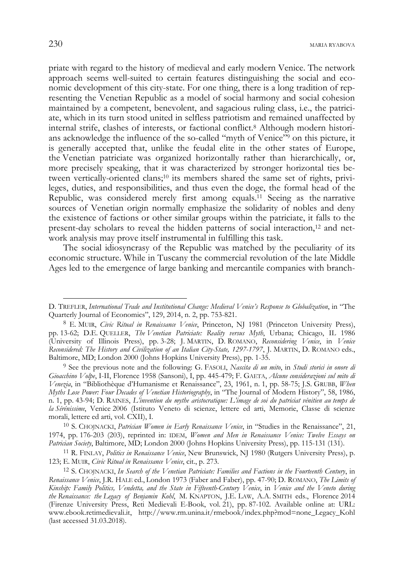priate with regard to the history of medieval and early modern Venice. The network approach seems well-suited to certain features distinguishing the social and economic development of this city-state. For one thing, there is a long tradition of representing the Venetian Republic as a model of social harmony and social cohesion maintained by a competent, benevolent, and sagacious ruling class, i.e., the patriciate, which in its turn stood united in selfless patriotism and remained unaffected by internal strife, clashes of interests, or factional conflict.8 Although modern historians acknowledge the influence of the so-called "myth of Venice"9 on this picture, it is generally accepted that, unlike the feudal elite in the other states of Europe, the Venetian patriciate was organized horizontally rather than hierarchically, or, more precisely speaking, that it was characterized by stronger horizontal ties between vertically-oriented clans;10 its members shared the same set of rights, privileges, duties, and responsibilities, and thus even the doge, the formal head of the Republic, was considered merely first among equals.11 Seeing as the narrative sources of Venetian origin normally emphasize the solidarity of nobles and deny the existence of factions or other similar groups within the patriciate, it falls to the present-day scholars to reveal the hidden patterns of social interaction,12 and network analysis may prove itself instrumental in fulfilling this task.

The social idiosyncrasy of the Republic was matched by the peculiarity of its economic structure. While in Tuscany the commercial revolution of the late Middle Ages led to the emergence of large banking and mercantile companies with branch-

D. TREFLER, *International Trade and Institutional Change: Medieval Venice's Response to Globalization*, in "The Quarterly Journal of Economics", 129, 2014, n. 2, pp. 753-821.

<sup>8</sup> E. MUIR, *Civic Ritual in Renaissance Venice*, Princeton, NJ 1981 (Princeton University Press), pp. 13-62; D.E. QUELLER, *The Venetian Patriciate: Reality versus Myth*, Urbana; Chicago, IL 1986 (University of Illinois Press), pp. 3-28; J. MARTIN, D. ROMANO, *Reconsidering Venice*, in *Venice Reconsidered: The History and Civilization of an Italian City-State, 1297-1797*, J. MARTIN, D. ROMANO eds., Baltimore, MD; London 2000 (Johns Hopkins University Press), pp. 1-35.

<sup>9</sup> See the previous note and the following: G. FASOLI, *Nascita di un mito*, in *Studi storici in onore di Gioacchino Volpe*, I-II, Florence 1958 (Sansoni), I, pp. 445-479; F. GAETA, *Alcune considerazioni sul mito di Venezia*, in "Bibliothèque d'Humanisme et Renaissance", 23, 1961, n. 1, pp. 58-75; J.S. GRUBB, *When Myths Lose Power: Four Decades of Venetian Historiography*, in "The Journal of Modern History", 58, 1986, n. 1, pp. 43-94; D. RAINES, *L'invention du mythe aristocratique: L'image de soi du patriciat vénitien au temps de la Sérénissime*, Venice 2006 (Istituto Veneto di scienze, lettere ed arti, Memorie, Classe di scienze morali, lettere ed arti, vol. CXII), I.

<sup>10</sup> S. CHOJNACKI, *Patrician Women in Early Renaissance Venice*, in "Studies in the Renaissance", 21, 1974, pp. 176-203 (203), reprinted in: IDEM, *Women and Men in Renaissance Venice: Twelve Essays on* 

*Patrician Society*, Baltimore, MD; London 2000 (Johns Hopkins University Press), pp. 115-131 (131).<br><sup>11</sup> R. FINLAY, *Politics in Renaissance Venice*, New Brunswick, NJ 1980 (Rutgers University Press), p.<br>123; E. MUIR, *Ci* 

<sup>&</sup>lt;sup>12</sup> S. CHOJNACKI, *In Search of the Venetian Patriciate: Families and Factions in the Fourteenth Century*, in *Renaissance Venice*, J.R. HALE ed., London 1973 (Faber and Faber), pp. 47-90; D. ROMANO, *The Limits of Kinship: Family Politics, Vendetta, and the State in Fifteenth-Century Venice*, in *Venice and the Veneto during the Renaissance: the Legacy of Benjamin Kohl*, M. KNAPTON, J.E. LAW, A.A. SMITH eds., Florence 2014 (Firenze University Press, Reti Medievali E-Book, vol. 21), pp. 87-102. Available online at: URL: www.ebook.retimedievali.it, http://www.rm.unina.it/rmebook/index.php?mod=none\_Legacy\_Kohl (last accessed 31.03.2018).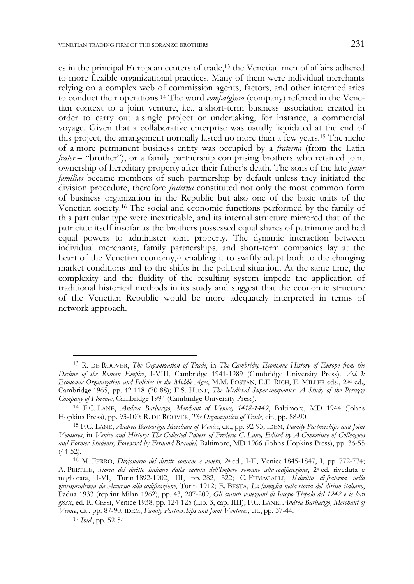es in the principal European centers of trade,13 the Venetian men of affairs adhered to more flexible organizational practices. Many of them were individual merchants relying on a complex web of commission agents, factors, and other intermediaries to conduct their operations.14 The word *compa(g)nia* (company) referred in the Venetian context to a joint venture, i.e., a short-term business association created in order to carry out a single project or undertaking, for instance, a commercial voyage. Given that a collaborative enterprise was usually liquidated at the end of this project, the arrangement normally lasted no more than a few years.15 The niche of a more permanent business entity was occupied by a *fraterna* (from the Latin *frater* – "brother"), or a family partnership comprising brothers who retained joint ownership of hereditary property after their father's death. The sons of the late *pater familias* became members of such partnership by default unless they initiated the division procedure, therefore *fraterna* constituted not only the most common form of business organization in the Republic but also one of the basic units of the Venetian society.16 The social and economic functions performed by the family of this particular type were inextricable, and its internal structure mirrored that of the patriciate itself insofar as the brothers possessed equal shares of patrimony and had equal powers to administer joint property. The dynamic interaction between individual merchants, family partnerships, and short-term companies lay at the heart of the Venetian economy,<sup>17</sup> enabling it to swiftly adapt both to the changing market conditions and to the shifts in the political situation. At the same time, the complexity and the fluidity of the resulting system impede the application of traditional historical methods in its study and suggest that the economic structure of the Venetian Republic would be more adequately interpreted in terms of network approach.

<sup>13</sup> R. DE ROOVER, *The Organization of Trade*, in *The Cambridge Economic History of Europe from the Decline of the Roman Empire*, I-VIII, Cambridge 1941-1989 (Cambridge University Press). *Vol. 3: Economic Organization and Policies in the Middle Ages*, M.M. POSTAN, E.E. RICH, E. MILLER eds., 2nd ed., Cambridge 1965, pp. 42-118 (70-88); E.S. HUNT, *The Medieval Super-companies: A Study of the Peruzzi Company of Florence*, Cambridge 1994 (Cambridge University Press).

<sup>14</sup> F.C. LANE, *Andrea Barbarigo, Merchant of Venice, 1418-1449*, Baltimore, MD 1944 (Johns Hopkins Press), pp. 93-100; R. DE ROOVER, *The Organization of Trade*, cit., pp. 88-90.

<sup>15</sup> F.C. LANE, *Andrea Barbarigo, Merchant of Venice*, cit., pp. 92-93; IDEM, *Family Partnerships and Joint Ventures*, in *Venice and History: The Collected Papers of Frederic C. Lane, Edited by A Committee of Colleagues and Former Students, Foreword by Fernand Braudel,* Baltimore, MD 1966 (Johns Hopkins Press), pp. 36-55  $(44-52)$ .

<sup>16</sup> M. FERRO, *Dizionario del diritto comune e veneto*, 2a ed., I-II, Venice 1845-1847, I, pp. 772-774; A. PERTILE, *Storia del diritto italiano dalla caduta dell'Impero romano alla codificazione*, 2a ed. riveduta e migliorata, I-VI, Turin 1892-1902, III, pp. 282, 322; C. FUMAGALLI, *Il diritto di fraterna nella giurisprudenza da Accursio alla codificazione*, Turin 1912; E. BESTA, *La famiglia nella storia del diritto italiano*, Padua 1933 (reprint Milan 1962), pp. 43, 207-209; *Gli statuti veneziani di Jacopo Tiepolo del 1242 e le loro glosse*, ed. R. CESSI, Venice 1938, pp. 124-125 (Lib. 3, cap. IIII); F.C. LANE, *Andrea Barbarigo, Merchant of Venice*, cit., pp. 87-90; IDEM, *Family Partnerships and Joint Ventures*, cit., pp. 37-44.

<sup>17</sup> *Ibid*., pp. 52-54.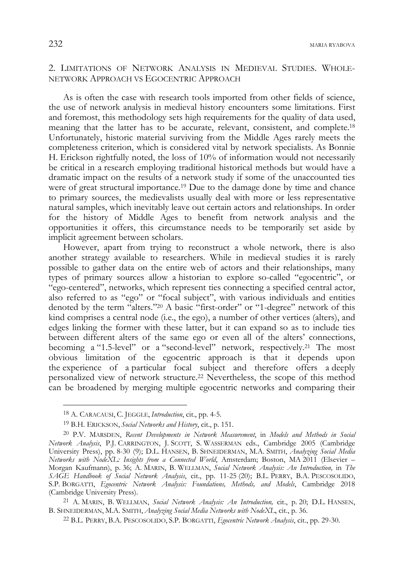# 2. LIMITATIONS OF NETWORK ANALYSIS IN MEDIEVAL STUDIES. WHOLE-NETWORK APPROACH VS EGOCENTRIC APPROACH

As is often the case with research tools imported from other fields of science, the use of network analysis in medieval history encounters some limitations. First and foremost, this methodology sets high requirements for the quality of data used, meaning that the latter has to be accurate, relevant, consistent, and complete.18 Unfortunately, historic material surviving from the Middle Ages rarely meets the completeness criterion, which is considered vital by network specialists. As Bonnie H. Erickson rightfully noted, the loss of 10% of information would not necessarily be critical in a research employing traditional historical methods but would have a dramatic impact on the results of a network study if some of the unaccounted ties were of great structural importance.19 Due to the damage done by time and chance to primary sources, the medievalists usually deal with more or less representative natural samples, which inevitably leave out certain actors and relationships. In order for the history of Middle Ages to benefit from network analysis and the opportunities it offers, this circumstance needs to be temporarily set aside by implicit agreement between scholars.

However, apart from trying to reconstruct a whole network, there is also another strategy available to researchers. While in medieval studies it is rarely possible to gather data on the entire web of actors and their relationships, many types of primary sources allow a historian to explore so-called "egocentric", or "ego-centered", networks, which represent ties connecting a specified central actor, also referred to as "ego" or "focal subject", with various individuals and entities denoted by the term "alters."20 A basic "first-order" or "1-degree" network of this kind comprises a central node (i.e., the ego), a number of other vertices (alters), and edges linking the former with these latter, but it can expand so as to include ties between different alters of the same ego or even all of the alters' connections, becoming a "1.5-level" or a "second-level" network, respectively.<sup>21</sup> The most obvious limitation of the egocentric approach is that it depends upon the experience of a particular focal subject and therefore offers a deeply personalized view of network structure.22 Nevertheless, the scope of this method can be broadened by merging multiple egocentric networks and comparing their

j

<sup>18</sup> A. CARACAUSI, C. JEGGLE, *Introduction*, cit., pp. 4-5.

<sup>19</sup> B.H. ERICKSON, *Social Networks and History*, cit., p. 151.

<sup>20</sup> P.V. MARSDEN, *Recent Developments in Network Measurement*, in *Models and Methods in Social Network Analysis*, P.J. CARRINGTON, J. SCOTT, S. WASSERMAN eds., Cambridge 2005 (Cambridge University Press), pp. 8-30 (9); D.L. HANSEN, B. SHNEIDERMAN, M.A. SMITH, *Analyzing Social Media Networks with NodeXL: Insights from a Connected World*, Amsterdam; Boston, MA 2011 (Elsevier – Morgan Kaufmann), p. 36; A. MARIN, B. WELLMAN, *Social Network Analysis: An Introduction,* in *The SAGE Handbook of Social Network Analysis*, cit., pp. 11-25 (20); B.L. PERRY, B.A. PESCOSOLIDO, S.P. BORGATTI, *Egocentric Network Analysis: Foundations, Methods, and Models*, Cambridge 2018 (Cambridge University Press). 21 A. MARIN, B. WELLMAN, *Social Network Analysis: An Introduction,* cit., p. 20; D.L. HANSEN,

B. SHNEIDERMAN, M.A. SMITH, *Analyzing Social Media Networks with NodeXL*, cit., p. 36. 22 B.L. PERRY, B.A. PESCOSOLIDO, S.P. BORGATTI, *Egocentric Network Analysis*, cit., pp. 29-30.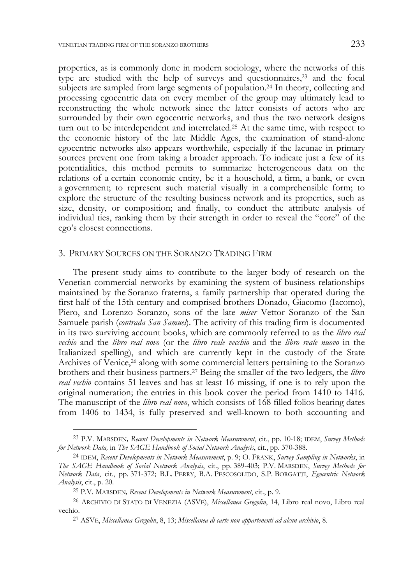properties, as is commonly done in modern sociology, where the networks of this type are studied with the help of surveys and questionnaires, $2<sup>3</sup>$  and the focal subjects are sampled from large segments of population.24 In theory, collecting and processing egocentric data on every member of the group may ultimately lead to reconstructing the whole network since the latter consists of actors who are surrounded by their own egocentric networks, and thus the two network designs turn out to be interdependent and interrelated.25 At the same time, with respect to the economic history of the late Middle Ages, the examination of stand-alone egocentric networks also appears worthwhile, especially if the lacunae in primary sources prevent one from taking a broader approach. To indicate just a few of its potentialities, this method permits to summarize heterogeneous data on the relations of a certain economic entity, be it a household, a firm, a bank, or even a government; to represent such material visually in a comprehensible form; to explore the structure of the resulting business network and its properties, such as size, density, or composition; and finally, to conduct the attribute analysis of individual ties, ranking them by their strength in order to reveal the "core" of the ego's closest connections.

## 3. PRIMARY SOURCES ON THE SORANZO TRADING FIRM

The present study aims to contribute to the larger body of research on the Venetian commercial networks by examining the system of business relationships maintained by the Soranzo fraterna, a family partnership that operated during the first half of the 15th century and comprised brothers Donado, Giacomo (Iacomo), Piero, and Lorenzo Soranzo, sons of the late *miser* Vettor Soranzo of the San Samuele parish (*contrada San Samuel*). The activity of this trading firm is documented in its two surviving account books, which are commonly referred to as the *libro real vechio* and the *libro real novo* (or the *libro reale vecchio* and the *libro reale nuovo* in the Italianized spelling), and which are currently kept in the custody of the State Archives of Venice,<sup>26</sup> along with some commercial letters pertaining to the Soranzo brothers and their business partners.27 Being the smaller of the two ledgers, the *libro real vechio* contains 51 leaves and has at least 16 missing, if one is to rely upon the original numeration; the entries in this book cover the period from 1410 to 1416. The manuscript of the *libro real novo*, which consists of 168 filled folios bearing dates from 1406 to 1434, is fully preserved and well-known to both accounting and

j

<sup>23</sup> P.V. MARSDEN*, Recent Developments in Network Measurement*, cit., pp. 10-18; IDEM, *Survey Methods for Network Data,* in *The SAGE Handbook of Social Network Analysis*, cit., pp. 370-388.

<sup>24</sup> IDEM, *Recent Developments in Network Measurement*, p. 9; O. FRANK, *Survey Sampling in Networks*, in *The SAGE Handbook of Social Network Analysis*, cit., pp. 389-403; P.V. MARSDEN, *Survey Methods for Network Data*, cit., pp. 371-372; B.L. PERRY, B.A. PESCOSOLIDO, S.P. BORGATTI, *Egocentric Network Analysis*, cit., p. 20.

<sup>25</sup> P.V. MARSDEN*, Recent Developments in Network Measurement*, cit., p. 9.

<sup>26</sup> ARCHIVIO DI STATO DI VENEZIA (ASVE), *Miscellanea Gregolin*, 14, Libro real novo, Libro real vechio.

<sup>27</sup> ASVE, *Miscellanea Gregolin*, 8, 13; *Miscellanea di carte non appartenenti ad alcun archivio*, 8.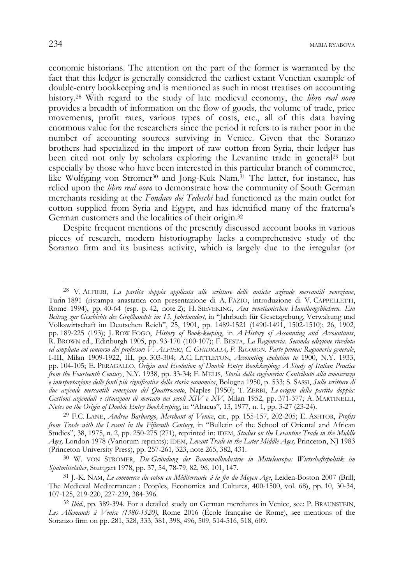$234$  maria ryabova

economic historians. The attention on the part of the former is warranted by the fact that this ledger is generally considered the earliest extant Venetian example of double-entry bookkeeping and is mentioned as such in most treatises on accounting history.28 With regard to the study of late medieval economy, the *libro real novo* provides a breadth of information on the flow of goods, the volume of trade, price movements, profit rates, various types of costs, etc., all of this data having enormous value for the researchers since the period it refers to is rather poor in the number of accounting sources surviving in Venice. Given that the Soranzo brothers had specialized in the import of raw cotton from Syria, their ledger has been cited not only by scholars exploring the Levantine trade in general<sup>29</sup> but especially by those who have been interested in this particular branch of commerce, like Wolfgang von Stromer<sup>30</sup> and Jong-Kuk Nam.<sup>31</sup> The latter, for instance, has relied upon the *libro real novo* to demonstrate how the community of South German merchants residing at the *Fondaco dei Tedeschi* had functioned as the main outlet for cotton supplied from Syria and Egypt, and has identified many of the fraterna's German customers and the localities of their origin.32

Despite frequent mentions of the presently discussed account books in various pieces of research, modern historiography lacks a comprehensive study of the Soranzo firm and its business activity, which is largely due to the irregular (or

<sup>28</sup> V. ALFIERI, *La partita doppia applicata alle scritture delle antiche aziende mercantili veneziane*, Turin 1891 (ristampa anastatica con presentazione di A. FAZIO, introduzione di V. CAPPELLETTI, Rome 1994), pp. 40-64 (esp. p. 42, note 2); H. SIEVEKING, *Aus venetianischen Handlungsbüchern. Ein Beitrag zur Geschichte des Großhandels im 15. Jahrhundert*, in "Jahrbuch für Gesetzgebung, Verwaltung und Volkswirtschaft im Deutschen Reich", 25, 1901, pp. 1489-1521 (1490-1491, 1502-1510); 26, 1902, pp. 189-225 (193); J. ROW FOGO, *History of Book-keeping*, in *A History of Accounting and Accountants*, R. BROWN ed., Edinburgh 1905, pp. 93-170 (100-107); F. BESTA, *La Ragioneria. Seconda edizione riveduta ed ampliata col concorso dei professori V. ALFIERI, C. GHIDIGLIA, P. RIGOBON. Parte prima: Ragioneria generale*, I-III, Milan 1909-1922, III, pp. 303-304; A.C. LITTLETON, *Accounting evolution to* 1900, N.Y. 1933, pp. 104-105; E. PERAGALLO, *Origin and Evolution of Double Entry Bookkeeping: A Study of Italian Practice from the Fourteenth Century*, N.Y. 1938, pp. 33-34; F. MELIS, *Storia della ragioneria: Contributo alla conoscenza e interpretazione delle fonti più significative della storia economica*, Bologna 1950, p. 533; S. SASSI, *Sulle scritture di due aziende mercantili veneziane del Quattrocento*, Naples [1950]; T. ZERBI, *Le origini della partita doppia: Gestioni aziendali e situazioni di mercato nei secoli XIV e XV*, Milan 1952, pp. 371-377; A. MARTINELLI, *Notes on the Origin of Double Entry Bookkeeping*, in "Abacus", 13, 1977, n. 1, pp. 3-27 (23-24).

<sup>29</sup> F.C. LANE, *Andrea Barbarigo, Merchant of Venice*, cit., pp. 155-157, 202-205; E. ASHTOR, *Profits from Trade with the Levant in the Fifteenth Century*, in "Bulletin of the School of Oriental and African Studies", 38, 1975, n. 2, pp. 250-275 (271), reprinted in: IDEM, *Studies on the Levantine Trade in the Middle Ages,* London 1978 (Variorum reprints); IDEM, *Levant Trade in the Later Middle Ages,* Princeton, NJ 1983 (Princeton University Press), pp. 257-261, 323, note 265, 382, 431.

<sup>30</sup> W. VON STROMER, *Die Gründung der Baumwollindustrie in Mitteleuropa: Wirtschaftspolitik im Spätmittelalter*, Stuttgart 1978, pp. 37, 54, 78-79, 82, 96, 101, 147.

<sup>31</sup> J.-K. NAM, *Le commerce du coton en Méditerranée à la fin du Moyen Age*, Leiden-Boston 2007 (Brill; The Medieval Mediterranean : Peoples, Economies and Cultures, 400-1500, vol. 68), pp. 10, 30-34, 107-125, 219-220, 227-239, 384-396.

<sup>32</sup> *Ibid*., pp. 389-394. For a detailed study on German merchants in Venice, see: P. BRAUNSTEIN, *Les Allemands à Venise (1380-1520)*, Rome 2016 (École française de Rome), see mentions of the Soranzo firm on pp. 281, 328, 333, 381, 398, 496, 509, 514-516, 518, 609.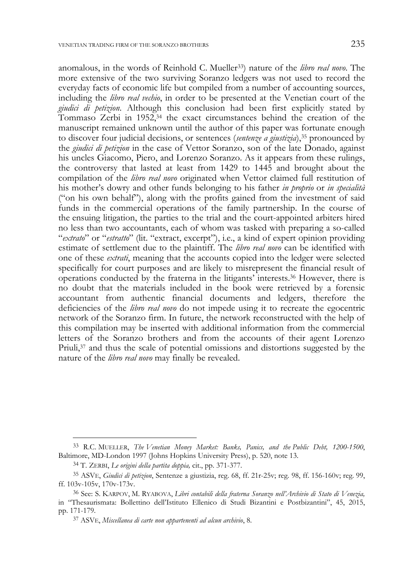anomalous, in the words of Reinhold C. Mueller33) nature of the *libro real novo*. The more extensive of the two surviving Soranzo ledgers was not used to record the everyday facts of economic life but compiled from a number of accounting sources, including the *libro real vechio*, in order to be presented at the Venetian court of the *giudici di petizion*. Although this conclusion had been first explicitly stated by Tommaso Zerbi in  $1952<sup>34</sup>$  the exact circumstances behind the creation of the manuscript remained unknown until the author of this paper was fortunate enough to discover four judicial decisions, or sentences (*sentenze a giustizia*),35 pronounced by the *giudici di petizion* in the case of Vettor Soranzo, son of the late Donado, against his uncles Giacomo, Piero, and Lorenzo Soranzo. As it appears from these rulings, the controversy that lasted at least from 1429 to 1445 and brought about the compilation of the *libro real novo* originated when Vettor claimed full restitution of his mother's dowry and other funds belonging to his father *in proprio* or *in specialità* ("on his own behalf"), along with the profits gained from the investment of said funds in the commercial operations of the family partnership. In the course of the ensuing litigation, the parties to the trial and the court-appointed arbiters hired no less than two accountants, each of whom was tasked with preparing a so-called "*extrato*" or "*estratto*" (lit. "extract, excerpt"), i.e., a kind of expert opinion providing estimate of settlement due to the plaintiff. The *libro real novo* can be identified with one of these *extrati*, meaning that the accounts copied into the ledger were selected specifically for court purposes and are likely to misrepresent the financial result of operations conducted by the fraterna in the litigants' interests.36 However, there is no doubt that the materials included in the book were retrieved by a forensic accountant from authentic financial documents and ledgers, therefore the deficiencies of the *libro real novo* do not impede using it to recreate the egocentric network of the Soranzo firm. In future, the network reconstructed with the help of this compilation may be inserted with additional information from the commercial letters of the Soranzo brothers and from the accounts of their agent Lorenzo Priuli, $37$  and thus the scale of potential omissions and distortions suggested by the nature of the *libro real novo* may finally be revealed.

<sup>33</sup> R.C. MUELLER, *The Venetian Money Market: Banks, Panics, and the Public Debt, 1200-1500*, Baltimore, MD-London 1997 (Johns Hopkins University Press), p. 520, note 13.

<sup>34</sup> T. ZERBI, *Le origini della partita doppia,* cit., pp. 371-377.

<sup>35</sup> ASVE, *Giudici di petizion*, Sentenze a giustizia, reg. 68, ff. 21r-25v; reg. 98, ff. 156-160v; reg. 99, ff. 103v-105v, 170v-173v.

<sup>36</sup> See: S. KARPOV, M. RYABOVA, *Libri contabili della fraterna Soranzo nell'Archivio di Stato di Venezia,*  in "Thesaurismata: Bollettino dell'Istituto Ellenico di Studi Bizantini e Postbizantini", 45, 2015, pp. 171-179.

<sup>37</sup> ASVE, *Miscellanea di carte non appartenenti ad alcun archivio*, 8.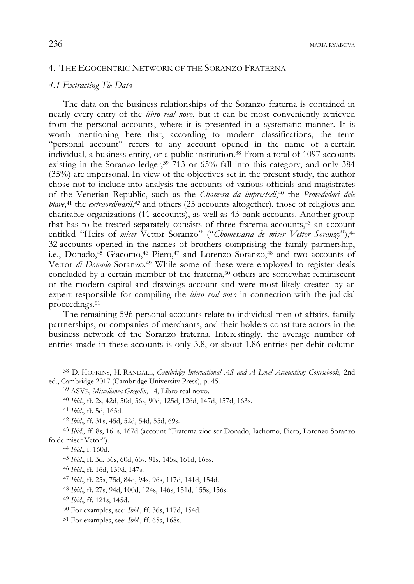## 4. THE EGOCENTRIC NETWORK OF THE SORANZO FRATERNA

### *4.1 Extracting Tie Data*

The data on the business relationships of the Soranzo fraterna is contained in nearly every entry of the *libro real novo*, but it can be most conveniently retrieved from the personal accounts, where it is presented in a systematic manner. It is worth mentioning here that, according to modern classifications, the term "personal account" refers to any account opened in the name of a certain individual, a business entity, or a public institution.38 From a total of 1097 accounts existing in the Soranzo ledger,39 713 or 65% fall into this category, and only 384 (35%) are impersonal. In view of the objectives set in the present study, the author chose not to include into analysis the accounts of various officials and magistrates of the Venetian Republic, such as the *Chamera da imprestedi*, 40 the *Provededori dele blave*, 41 the *extraordinarii*, *<sup>42</sup>* and others (25 accounts altogether), those of religious and charitable organizations (11 accounts), as well as 43 bank accounts. Another group that has to be treated separately consists of three fraterna accounts,43 an account entitled "Heirs of *miser* Vettor Soranzo" ("*Chomessaria de miser Vettor Soranzo*"),44 32 accounts opened in the names of brothers comprising the family partnership, i.e., Donado,45 Giacomo,46 Piero,47 and Lorenzo Soranzo,48 and two accounts of Vettor *di Donado* Soranzo.49 While some of these were employed to register deals concluded by a certain member of the fraterna,<sup>50</sup> others are somewhat reminiscent of the modern capital and drawings account and were most likely created by an expert responsible for compiling the *libro real novo* in connection with the judicial proceedings.51

The remaining 596 personal accounts relate to individual men of affairs, family partnerships, or companies of merchants, and their holders constitute actors in the business network of the Soranzo fraterna. Interestingly, the average number of entries made in these accounts is only 3.8, or about 1.86 entries per debit column

<sup>38</sup> D. HOPKINS, H. RANDALL, *Cambridge International AS and A Level Accounting: Coursebook,* 2nd ed., Cambridge 2017 (Cambridge University Press), p. 45.

<sup>39</sup> ASVE, *Miscellanea Gregolin*, 14, Libro real novo.

<sup>40</sup> *Ibid.*, ff. 2s, 42d, 50d, 56s, 90d, 125d, 126d, 147d, 157d, 163s.

<sup>41</sup> *Ibid*., ff. 5d, 165d.

<sup>42</sup> *Ibid*., ff. 31s, 45d, 52d, 54d, 55d, 69s.

<sup>43</sup> *Ibid*., ff. 8s, 161s, 167d (account "Fraterna zioe ser Donado, Iachomo, Piero, Lorenzo Soranzo fo de miser Vetor").

<sup>44</sup> *Ibid*., f. 160d.

<sup>45</sup> *Ibid*., ff. 3d, 36s, 60d, 65s, 91s, 145s, 161d, 168s.

<sup>46</sup> *Ibid*., ff. 16d, 139d, 147s.

<sup>47</sup> *Ibid*., ff. 25s, 75d, 84d, 94s, 96s, 117d, 141d, 154d.

<sup>48</sup> *Ibid*., ff. 27s, 94d, 100d, 124s, 146s, 151d, 155s, 156s.

<sup>49</sup> *Ibid*., ff. 121s, 145d.

<sup>50</sup> For examples, see: *Ibid*., ff. 36s, 117d, 154d.

<sup>51</sup> For examples, see: *Ibid*., ff. 65s, 168s.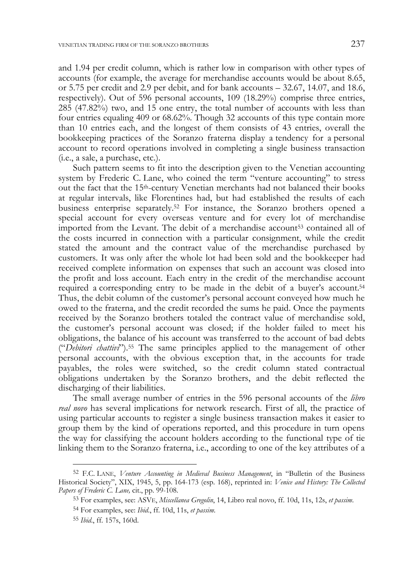and 1.94 per credit column, which is rather low in comparison with other types of accounts (for example, the average for merchandise accounts would be about 8.65, or 5.75 per credit and 2.9 per debit, and for bank accounts – 32.67, 14.07, and 18.6, respectively). Out of 596 personal accounts, 109 (18.29%) comprise three entries, 285 (47.82%) two, and 15 one entry, the total number of accounts with less than four entries equaling 409 or 68.62%. Though 32 accounts of this type contain more than 10 entries each, and the longest of them consists of 43 entries, overall the bookkeeping practices of the Soranzo fraterna display a tendency for a personal account to record operations involved in completing a single business transaction (i.e., a sale, a purchase, etc.).

Such pattern seems to fit into the description given to the Venetian accounting system by Frederic C. Lane, who coined the term "venture accounting" to stress out the fact that the 15<sup>th</sup>-century Venetian merchants had not balanced their books at regular intervals, like Florentines had, but had established the results of each business enterprise separately.52 For instance, the Soranzo brothers opened a special account for every overseas venture and for every lot of merchandise imported from the Levant. The debit of a merchandise account53 contained all of the costs incurred in connection with a particular consignment, while the credit stated the amount and the contract value of the merchandise purchased by customers. It was only after the whole lot had been sold and the bookkeeper had received complete information on expenses that such an account was closed into the profit and loss account. Each entry in the credit of the merchandise account required a corresponding entry to be made in the debit of a buyer's account.54 Thus, the debit column of the customer's personal account conveyed how much he owed to the fraterna, and the credit recorded the sums he paid. Once the payments received by the Soranzo brothers totaled the contract value of merchandise sold, the customer's personal account was closed; if the holder failed to meet his obligations, the balance of his account was transferred to the account of bad debts ("*Debitori chattivi*").55 The same principles applied to the management of other personal accounts, with the obvious exception that, in the accounts for trade payables, the roles were switched, so the credit column stated contractual obligations undertaken by the Soranzo brothers, and the debit reflected the discharging of their liabilities.

The small average number of entries in the 596 personal accounts of the *libro real novo* has several implications for network research. First of all, the practice of using particular accounts to register a single business transaction makes it easier to group them by the kind of operations reported, and this procedure in turn opens the way for classifying the account holders according to the functional type of tie linking them to the Soranzo fraterna, i.e., according to one of the key attributes of a

<sup>52</sup> F.C. LANE, *Venture Accounting in Medieval Business Management*, in "Bulletin of the Business Historical Society", XIX, 1945, 5, pp. 164-173 (esp. 168), reprinted in: *Venice and History: The Collected Papers of Frederic C. Lane,* cit., pp. 99-108.

<sup>53</sup> For examples, see: ASVE, *Miscellanea Gregolin*, 14, Libro real novo, ff. 10d, 11s, 12s, *et passim*.

<sup>54</sup> For examples, see: *Ibid*., ff. 10d, 11s, *et passim*.

<sup>55</sup> *Ibid*., ff. 157s, 160d.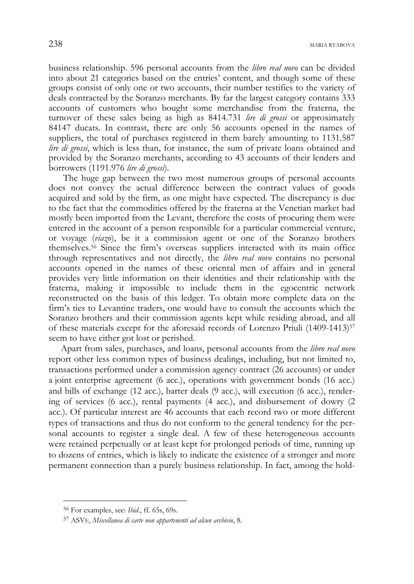business relationship. 596 personal accounts from the *libro real novo* can be divided into about 21 categories based on the entries' content, and though some of these groups consist of only one or two accounts, their number testifies to the variety of deals contracted by the Soranzo merchants. By far the largest category contains 333 accounts of customers who bought some merchandise from the fraterna, the turnover of these sales being as high as 8414.731 *lire di grossi* or approximately 84147 ducats. In contrast, there are only 56 accounts opened in the names of suppliers, the total of purchases registered in them barely amounting to 1131.587 *lire di grossi*, which is less than, for instance, the sum of private loans obtained and provided by the Soranzo merchants, according to 43 accounts of their lenders and borrowers (1191.976 *lire di grossi*).

The huge gap between the two most numerous groups of personal accounts does not convey the actual difference between the contract values of goods acquired and sold by the firm, as one might have expected. The discrepancy is due to the fact that the commodities offered by the fraterna at the Venetian market had mostly been imported from the Levant, therefore the costs of procuring them were entered in the account of a person responsible for a particular commercial venture, or voyage (*viazo*), be it a commission agent or one of the Soranzo brothers themselves.56 Since the firm's overseas suppliers interacted with its main office through representatives and not directly, the *libro real novo* contains no personal accounts opened in the names of these oriental men of affairs and in general provides very little information on their identities and their relationship with the fraterna, making it impossible to include them in the egocentric network reconstructed on the basis of this ledger. To obtain more complete data on the firm's ties to Levantine traders, one would have to consult the accounts which the Soranzo brothers and their commission agents kept while residing abroad, and all of these materials except for the aforesaid records of Lorenzo Priuli (1409-1413)57 seem to have either got lost or perished.

Apart from sales, purchases, and loans, personal accounts from the *libro real novo* report other less common types of business dealings, including, but not limited to, transactions performed under a commission agency contract (26 accounts) or under a joint enterprise agreement (6 acc.), operations with government bonds (16 acc.) and bills of exchange (12 acc.), barter deals (9 acc.), will execution (6 acc.), rendering of services (6 acc.), rental payments (4 acc.), and disbursement of dowry (2 acc.). Of particular interest are 46 accounts that each record two or more different types of transactions and thus do not conform to the general tendency for the personal accounts to register a single deal. A few of these heterogeneous accounts were retained perpetually or at least kept for prolonged periods of time, running up to dozens of entries, which is likely to indicate the existence of a stronger and more permanent connection than a purely business relationship. In fact, among the hold-

<sup>56</sup> For examples, see: *Ibid*., ff. 65s, 69s.

<sup>57</sup> ASVE, *Miscellanea di carte non appartenenti ad alcun archivio*, 8.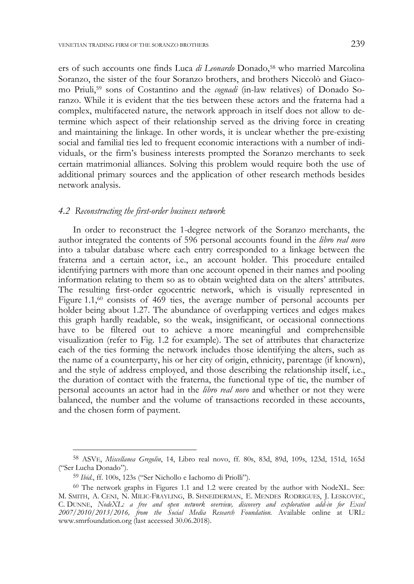ers of such accounts one finds Luca *di Leonardo* Donado,58 who married Marcolina Soranzo, the sister of the four Soranzo brothers, and brothers Niccolò and Giacomo Priuli,59 sons of Costantino and the *cognadi* (in-law relatives) of Donado Soranzo. While it is evident that the ties between these actors and the fraterna had a complex, multifaceted nature, the network approach in itself does not allow to determine which aspect of their relationship served as the driving force in creating and maintaining the linkage. In other words, it is unclear whether the pre-existing social and familial ties led to frequent economic interactions with a number of individuals, or the firm's business interests prompted the Soranzo merchants to seek certain matrimonial alliances. Solving this problem would require both the use of additional primary sources and the application of other research methods besides network analysis.

#### *4.2 Reconstructing the first-order business network*

In order to reconstruct the 1-degree network of the Soranzo merchants, the author integrated the contents of 596 personal accounts found in the *libro real novo* into a tabular database where each entry corresponded to a linkage between the fraterna and a certain actor, i.e., an account holder. This procedure entailed identifying partners with more than one account opened in their names and pooling information relating to them so as to obtain weighted data on the alters' attributes. The resulting first-order egocentric network, which is visually represented in Figure 1.1, $\omega$  consists of 469 ties, the average number of personal accounts per holder being about 1.27. The abundance of overlapping vertices and edges makes this graph hardly readable, so the weak, insignificant, or occasional connections have to be filtered out to achieve a more meaningful and comprehensible visualization (refer to Fig. 1.2 for example). The set of attributes that characterize each of the ties forming the network includes those identifying the alters, such as the name of a counterparty, his or her city of origin, ethnicity, parentage (if known), and the style of address employed, and those describing the relationship itself, i.e., the duration of contact with the fraterna, the functional type of tie, the number of personal accounts an actor had in the *libro real novo* and whether or not they were balanced, the number and the volume of transactions recorded in these accounts, and the chosen form of payment.

j

<sup>58</sup> ASVE, *Miscellanea Gregolin*, 14, Libro real novo, ff. 80s, 83d, 89d, 109s, 123d, 151d, 165d ("Ser Lucha Donado").

<sup>59</sup> *Ibid*., ff. 100s, 123s ("Ser Nichollo e Iachomo di Priolli").

<sup>60</sup> The network graphs in Figures 1.1 and 1.2 were created by the author with NodeXL. See: M. SMITH, A. CENI, N. MILIC-FRAYLING, B. SHNEIDERMAN, E. MENDES RODRIGUES, J. LESKOVEC, C. DUNNE, *NodeXL: a free and open network overview, discovery and exploration add-in for Excel 2007/2010/2013/2016, from the Social Media Research Foundation.* Available online at URL: www.smrfoundation.org (last accessed 30.06.2018).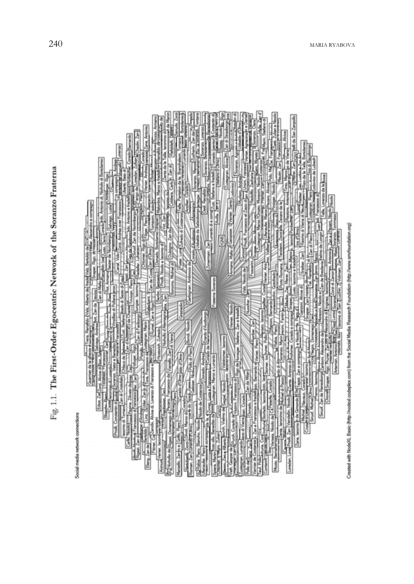Fig. 1.1. The First-Order Egocentric Network of the Soranzo Fraterna

Social media network connections

illi da San Zanpollo  $\frac{1}{2}$ 通過 Ń ļ, also also A-25 main, Zan<br>Theast Lunardo dia con bdo Anto **Lodges** over i ë E i allido (Valz, Alberto de) frade(Valz, Bertoldo de E-La S bar Zanl nal Video is indi E de Cost Fraterna Soranzo ł з ł ş Ï ada di Se b Verser, Noolo and Page 4 Erando d'Ausborgo **Piles C** Nichodo d'Al I **Separate** is<br>N rebo News) (Kook de Central (Corach, Ardrag)<br>reagraph la Agreen Lucia e England, Ardrag de l<br>de Bandos de l'Origina e Marco e Lucia de ondo ESHTejani, Zan e compagni graso da Vianello Zan **I** Franzesco di Ē bido d'Olmo Ohlaus de mier da la d Vateur a towio di 2<br>Condo di Vason Francesco di Roy dell'<br>22 - Chason Francesco di Roy del Concesi, Alvisa di Lorenzo di Franzesco e Load Papina, Ziliveto da mar. Zag<br>cesco di Francesco (lar. Zan Ğ  $\begin{array}{c} \hline \text{1.4cm} \\ \text{6.6cm} \end{array}$ da Mila Sinud Zan de Renesboro to lase Uder, Zanjo eta Chovell Snaper Ŀ de builteres **Primo de Julional di Pari** Erbot Zar Zoon i  $\frac{1}{2}$ 6 Viena Joan, Corado esco e frac of Michig Į Scap 喜星 **Court Home of Francisco di**<br>This 2 in diameters of Christian<br>Eleng, 2 in de Densités | Line, 2<br>Eleng, 2 in de Densités | Line, 2 EL Rabia, Pierc, Blancho, Nicolo Ricord B **Profit de de Roan** Domenago di š n Died Cor compagn **K** sman, Zan Lungsto 200mo Room Carlo, Timolay Zane, lacomo گا Priofil Zan Rimod Verier, laco Marzello, Zanto e Cir J Reng Zan J Network Zoom Johune, C Loredan, Lore Recorded Pla sera Martin Mosto, Derr tecnan. er de i Containt 通宵 ı

Created with NodeXL Basic (http://nodexl.codeplex.com) from the Social Media Research Foundation (http://www.smnfoundation.org)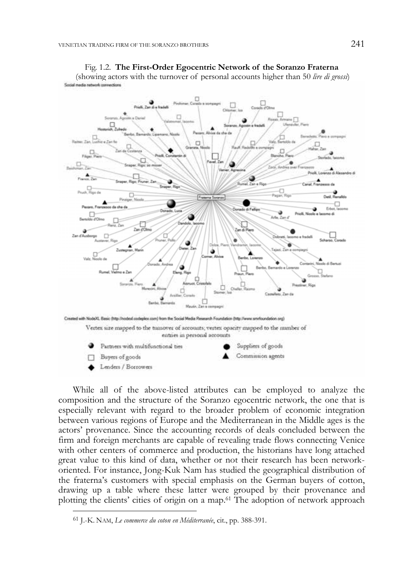

Fig. 1.2. **The First-Order Egocentric Network of the Soranzo Fraterna**  (showing actors with the turnover of personal accounts higher than 50 *lire di grossi*)

While all of the above-listed attributes can be employed to analyze the composition and the structure of the Soranzo egocentric network, the one that is especially relevant with regard to the broader problem of economic integration between various regions of Europe and the Mediterranean in the Middle ages is the actors' provenance. Since the accounting records of deals concluded between the firm and foreign merchants are capable of revealing trade flows connecting Venice with other centers of commerce and production, the historians have long attached great value to this kind of data, whether or not their research has been networkoriented. For instance, Jong-Kuk Nam has studied the geographical distribution of the fraterna's customers with special emphasis on the German buyers of cotton, drawing up a table where these latter were grouped by their provenance and plotting the clients' cities of origin on a map.61 The adoption of network approach

<sup>61</sup> J.-K. NAM, *Le commerce du coton en Méditerranée*, cit., pp. 388-391.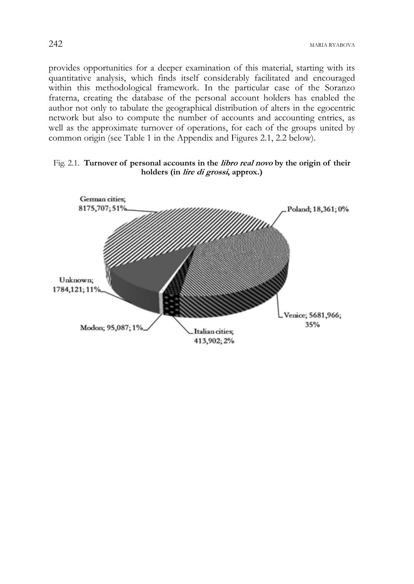provides opportunities for a deeper examination of this material, starting with its quantitative analysis, which finds itself considerably facilitated and encouraged within this methodological framework. In the particular case of the Soranzo fraterna, creating the database of the personal account holders has enabled the author not only to tabulate the geographical distribution of alters in the egocentric network but also to compute the number of accounts and accounting entries, as well as the approximate turnover of operations, for each of the groups united by common origin (see Table 1 in the Appendix and Figures 2.1, 2.2 below).

### Fig. 2.1. **Turnover of personal accounts in the libro real novo by the origin of their holders (in lire di grossi, approx.)**

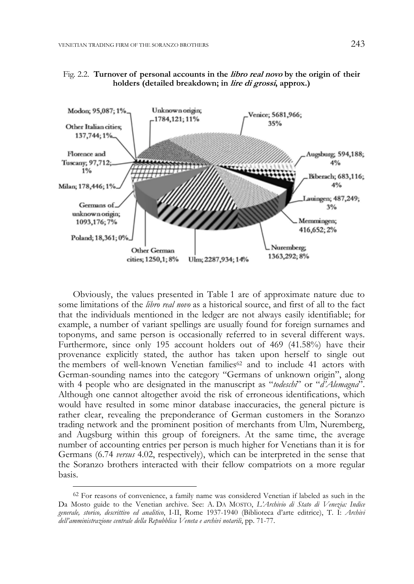



Obviously, the values presented in Table 1 are of approximate nature due to some limitations of the *libro real novo* as a historical source, and first of all to the fact that the individuals mentioned in the ledger are not always easily identifiable; for example, a number of variant spellings are usually found for foreign surnames and toponyms, and same person is occasionally referred to in several different ways. Furthermore, since only 195 account holders out of 469 (41.58%) have their provenance explicitly stated, the author has taken upon herself to single out the members of well-known Venetian families<sup> $62$ </sup> and to include 41 actors with German-sounding names into the category "Germans of unknown origin", along with 4 people who are designated in the manuscript as "*todeschi*" or "*d'Alemagna*". Although one cannot altogether avoid the risk of erroneous identifications, which would have resulted in some minor database inaccuracies, the general picture is rather clear, revealing the preponderance of German customers in the Soranzo trading network and the prominent position of merchants from Ulm, Nuremberg, and Augsburg within this group of foreigners. At the same time, the average number of accounting entries per person is much higher for Venetians than it is for Germans (6.74 *versus* 4.02, respectively), which can be interpreted in the sense that the Soranzo brothers interacted with their fellow compatriots on a more regular basis.

<sup>62</sup> For reasons of convenience, a family name was considered Venetian if labeled as such in the Da Mosto guide to the Venetian archive. See: A. DA MOSTO, *L'Archivio di Stato di Venezia: Indice generale, storico, descrittivo ed analitico*, I-II, Rome 1937-1940 (Biblioteca d'arte editrice), T. I: *Archivi dell'amministrazione centrale della Repubblica Veneta e archivi notarili*, pp. 71-77.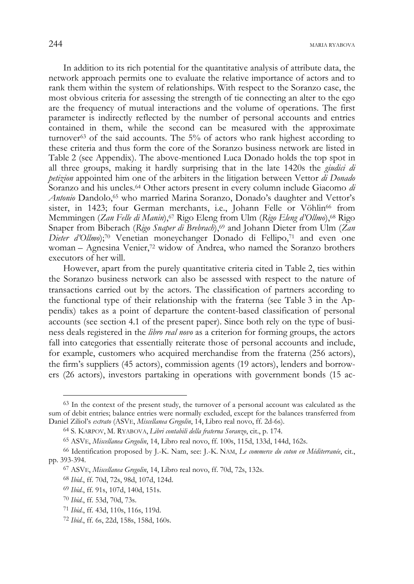In addition to its rich potential for the quantitative analysis of attribute data, the network approach permits one to evaluate the relative importance of actors and to rank them within the system of relationships. With respect to the Soranzo case, the most obvious criteria for assessing the strength of tie connecting an alter to the ego are the frequency of mutual interactions and the volume of operations. The first parameter is indirectly reflected by the number of personal accounts and entries contained in them, while the second can be measured with the approximate turnover63 of the said accounts. The 5% of actors who rank highest according to these criteria and thus form the core of the Soranzo business network are listed in Table 2 (see Appendix). The above-mentioned Luca Donado holds the top spot in all three groups, making it hardly surprising that in the late 1420s the *giudici di petizion* appointed him one of the arbiters in the litigation between Vettor *di Donado* Soranzo and his uncles.64 Other actors present in every column include Giacomo *di Antonio* Dandolo,65 who married Marina Soranzo, Donado's daughter and Vettor's sister, in 1423; four German merchants, i.e., Johann Felle or Vöhlin<sup>66</sup> from Memmingen (*Zan Felle di Manin*),<sup>67</sup> Rigo Eleng from Ulm (*Rigo Eleng d'Ollmo*),<sup>68</sup> Rigo Snaper from Biberach (*Rigo Snaper di Brebrach*),<sup>69</sup> and Johann Dieter from Ulm (*Zan Dieter d'Ollmo*);70 Venetian moneychanger Donado di Fellipo,71 and even one woman – Agnesina Venier,<sup>72</sup> widow of Andrea, who named the Soranzo brothers executors of her will.

However, apart from the purely quantitative criteria cited in Table 2, ties within the Soranzo business network can also be assessed with respect to the nature of transactions carried out by the actors. The classification of partners according to the functional type of their relationship with the fraterna (see Table 3 in the Appendix) takes as a point of departure the content-based classification of personal accounts (see section 4.1 of the present paper). Since both rely on the type of business deals registered in the *libro real novo* as a criterion for forming groups, the actors fall into categories that essentially reiterate those of personal accounts and include, for example, customers who acquired merchandise from the fraterna (256 actors), the firm's suppliers (45 actors), commission agents (19 actors), lenders and borrowers (26 actors), investors partaking in operations with government bonds (15 ac-

<sup>63</sup> In the context of the present study, the turnover of a personal account was calculated as the sum of debit entries; balance entries were normally excluded, except for the balances transferred from Daniel Ziliol's *extrato* (ASVE, *Miscellanea Gregolin*, 14, Libro real novo, ff. 2d-6s).

<sup>64</sup> S. KARPOV, M. RYABOVA, *Libri contabili della fraterna Soranzo*, cit., p. 174.

<sup>65</sup> ASVE, *Miscellanea Gregolin*, 14, Libro real novo, ff. 100s, 115d, 133d, 144d, 162s.

<sup>66</sup> Identification proposed by J.-K. Nam, see: J.-K. NAM, *Le commerce du coton en Méditerranée*, cit., pp. 393-394.

<sup>67</sup> ASVE, *Miscellanea Gregolin*, 14, Libro real novo, ff. 70d, 72s, 132s.

<sup>68</sup> *Ibid*., ff. 70d, 72s, 98d, 107d, 124d.

<sup>69</sup> *Ibid*., ff. 91s, 107d, 140d, 151s.

<sup>70</sup> *Ibid*., ff. 53d, 70d, 73s.

<sup>71</sup> *Ibid*., ff. 43d, 110s, 116s, 119d.

<sup>72</sup> *Ibid*., ff. 6s, 22d, 158s, 158d, 160s.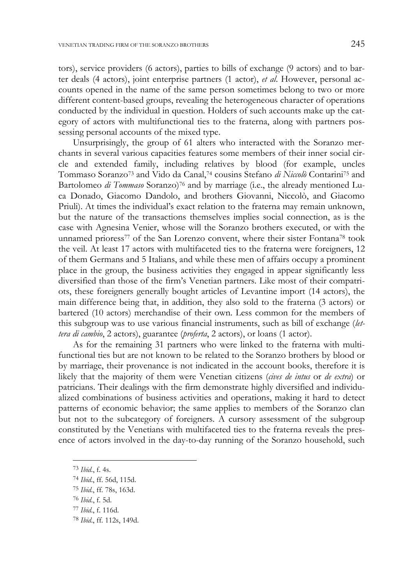tors), service providers (6 actors), parties to bills of exchange (9 actors) and to barter deals (4 actors), joint enterprise partners (1 actor), *et al*. However, personal accounts opened in the name of the same person sometimes belong to two or more different content-based groups, revealing the heterogeneous character of operations conducted by the individual in question. Holders of such accounts make up the category of actors with multifunctional ties to the fraterna, along with partners possessing personal accounts of the mixed type.

Unsurprisingly, the group of 61 alters who interacted with the Soranzo merchants in several various capacities features some members of their inner social circle and extended family, including relatives by blood (for example, uncles Tommaso Soranzo73 and Vido da Canal,74 cousins Stefano *di Niccolò* Contarini75 and Bartolomeo *di Tommaso* Soranzo)76 and by marriage (i.e., the already mentioned Luca Donado, Giacomo Dandolo, and brothers Giovanni, Niccolò, and Giacomo Priuli). At times the individual's exact relation to the fraterna may remain unknown, but the nature of the transactions themselves implies social connection, as is the case with Agnesina Venier, whose will the Soranzo brothers executed, or with the unnamed prioress77 of the San Lorenzo convent, where their sister Fontana78 took the veil. At least 17 actors with multifaceted ties to the fraterna were foreigners, 12 of them Germans and 5 Italians, and while these men of affairs occupy a prominent place in the group, the business activities they engaged in appear significantly less diversified than those of the firm's Venetian partners. Like most of their compatriots, these foreigners generally bought articles of Levantine import (14 actors), the main difference being that, in addition, they also sold to the fraterna (3 actors) or bartered (10 actors) merchandise of their own. Less common for the members of this subgroup was to use various financial instruments, such as bill of exchange (*lettera di cambio*, 2 actors), guarantee (*proferta*, 2 actors), or loans (1 actor).

As for the remaining 31 partners who were linked to the fraterna with multifunctional ties but are not known to be related to the Soranzo brothers by blood or by marriage, their provenance is not indicated in the account books, therefore it is likely that the majority of them were Venetian citizens (*cives de intus* or *de extra*) or patricians. Their dealings with the firm demonstrate highly diversified and individualized combinations of business activities and operations, making it hard to detect patterns of economic behavior; the same applies to members of the Soranzo clan but not to the subcategory of foreigners. A cursory assessment of the subgroup constituted by the Venetians with multifaceted ties to the fraterna reveals the presence of actors involved in the day-to-day running of the Soranzo household, such

<sup>73</sup> *Ibid*., f. 4s.

<sup>74</sup> *Ibid*., ff. 56d, 115d.

<sup>75</sup> *Ibid*., ff. 78s, 163d.

<sup>76</sup> *Ibid*., f. 5d.

<sup>77</sup> *Ibid*., f. 116d.

<sup>78</sup> *Ibid*., ff. 112s, 149d.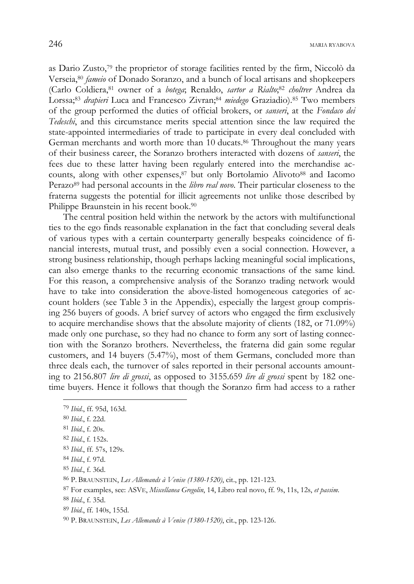as Dario Zusto,79 the proprietor of storage facilities rented by the firm, Niccolò da Verseia,80 *fameio* of Donado Soranzo, and a bunch of local artisans and shopkeepers (Carlo Coldiera,81 owner of a *botega*; Renaldo, *sartor a Rialto*; <sup>82</sup> *choltrer* Andrea da Lorssa;83 *drapieri* Luca and Francesco Zivran;84 *miedego* Graziadio).85 Two members of the group performed the duties of official brokers, or *sanseri*, at the *Fondaco dei Tedeschi*, and this circumstance merits special attention since the law required the state-appointed intermediaries of trade to participate in every deal concluded with German merchants and worth more than 10 ducats.86 Throughout the many years of their business career, the Soranzo brothers interacted with dozens of *sanseri*, the fees due to these latter having been regularly entered into the merchandise accounts, along with other expenses,<sup>87</sup> but only Bortolamio Alivoto<sup>88</sup> and Iacomo Perazo89 had personal accounts in the *libro real novo*. Their particular closeness to the fraterna suggests the potential for illicit agreements not unlike those described by Philippe Braunstein in his recent book.90

The central position held within the network by the actors with multifunctional ties to the ego finds reasonable explanation in the fact that concluding several deals of various types with a certain counterparty generally bespeaks coincidence of financial interests, mutual trust, and possibly even a social connection. However, a strong business relationship, though perhaps lacking meaningful social implications, can also emerge thanks to the recurring economic transactions of the same kind. For this reason, a comprehensive analysis of the Soranzo trading network would have to take into consideration the above-listed homogeneous categories of account holders (see Table 3 in the Appendix), especially the largest group comprising 256 buyers of goods. A brief survey of actors who engaged the firm exclusively to acquire merchandise shows that the absolute majority of clients (182, or 71.09%) made only one purchase, so they had no chance to form any sort of lasting connection with the Soranzo brothers. Nevertheless, the fraterna did gain some regular customers, and 14 buyers (5.47%), most of them Germans, concluded more than three deals each, the turnover of sales reported in their personal accounts amounting to 2156.807 *lire di grossi*, as opposed to 3155.659 *lire di grossi* spent by 182 onetime buyers. Hence it follows that though the Soranzo firm had access to a rather

<sup>79</sup> *Ibid*., ff. 95d, 163d.

<sup>80</sup> *Ibid*., f. 22d.

<sup>81</sup> *Ibid*., f. 20s.

<sup>82</sup> *Ibid*., f. 152s.

<sup>83</sup> *Ibid*., ff. 57s, 129s.

<sup>84</sup> *Ibid*., f. 97d.

<sup>85</sup> *Ibid*., f. 36d.

<sup>86</sup> P. BRAUNSTEIN, *Les Allemands à Venise (1380-1520)*, cit., pp. 121-123.

<sup>87</sup> For examples, see: ASVE, *Miscellanea Gregolin*, 14, Libro real novo, ff. 9s, 11s, 12s, *et passim*.

<sup>88</sup> *Ibid*., f. 35d.

<sup>89</sup> *Ibid*., ff. 140s, 155d.

<sup>90</sup> P. BRAUNSTEIN, *Les Allemands à Venise (1380-1520)*, cit., pp. 123-126.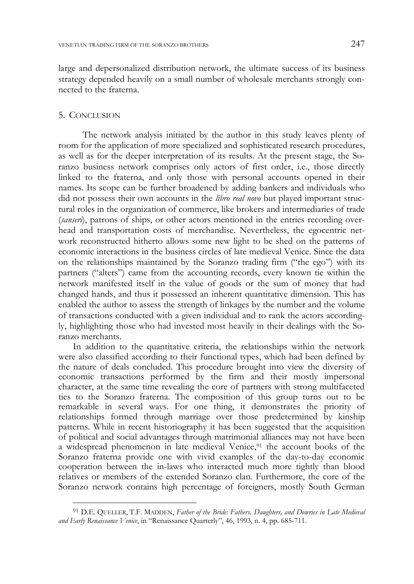large and depersonalized distribution network, the ultimate success of its business strategy depended heavily on a small number of wholesale merchants strongly connected to the fraterna.

# 5. CONCLUSION

-

The network analysis initiated by the author in this study leaves plenty of room for the application of more specialized and sophisticated research procedures, as well as for the deeper interpretation of its results. At the present stage, the Soranzo business network comprises only actors of first order, i.e., those directly linked to the fraterna, and only those with personal accounts opened in their names. Its scope can be further broadened by adding bankers and individuals who did not possess their own accounts in the *libro real novo* but played important structural roles in the organization of commerce, like brokers and intermediaries of trade (*sanseri*), patrons of ships, or other actors mentioned in the entries recording overhead and transportation costs of merchandise. Nevertheless, the egocentric network reconstructed hitherto allows some new light to be shed on the patterns of economic interactions in the business circles of late medieval Venice. Since the data on the relationships maintained by the Soranzo trading firm ("the ego") with its partners ("alters") came from the accounting records, every known tie within the network manifested itself in the value of goods or the sum of money that had changed hands, and thus it possessed an inherent quantitative dimension. This has enabled the author to assess the strength of linkages by the number and the volume of transactions conducted with a given individual and to rank the actors accordingly, highlighting those who had invested most heavily in their dealings with the Soranzo merchants.

In addition to the quantitative criteria, the relationships within the network were also classified according to their functional types, which had been defined by the nature of deals concluded. This procedure brought into view the diversity of economic transactions performed by the firm and their mostly impersonal character, at the same time revealing the core of partners with strong multifaceted ties to the Soranzo fraterna. The composition of this group turns out to be remarkable in several ways. For one thing, it demonstrates the priority of relationships formed through marriage over those predetermined by kinship patterns. While in recent historiography it has been suggested that the acquisition of political and social advantages through matrimonial alliances may not have been a widespread phenomenon in late medieval Venice,91 the account books of the Soranzo fraterna provide one with vivid examples of the day-to-day economic cooperation between the in-laws who interacted much more tightly than blood relatives or members of the extended Soranzo clan. Furthermore, the core of the Soranzo network contains high percentage of foreigners, mostly South German

<sup>91</sup> D.E. QUELLER, T.F. MADDEN, *Father of the Bride: Fathers, Daughters, and Dowries in Late Medieval and Early Renaissance Venice*, in "Renaissance Quarterly", 46, 1993, n. 4, pp. 685-711.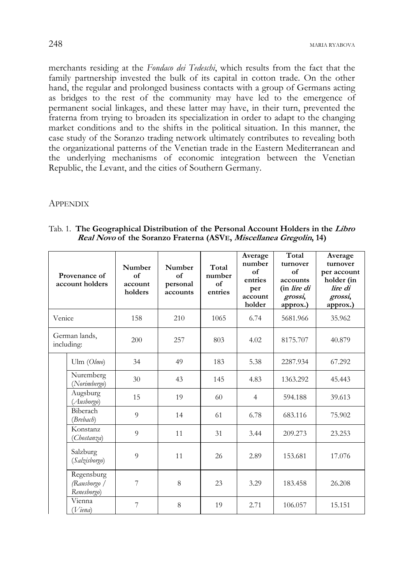merchants residing at the *Fondaco dei Tedeschi*, which results from the fact that the family partnership invested the bulk of its capital in cotton trade. On the other hand, the regular and prolonged business contacts with a group of Germans acting as bridges to the rest of the community may have led to the emergence of permanent social linkages, and these latter may have, in their turn, prevented the fraterna from trying to broaden its specialization in order to adapt to the changing market conditions and to the shifts in the political situation. In this manner, the case study of the Soranzo trading network ultimately contributes to revealing both the organizational patterns of the Venetian trade in the Eastern Mediterranean and the underlying mechanisms of economic integration between the Venetian Republic, the Levant, and the cities of Southern Germany.

### **APPENDIX**

| Provenance of<br>account holders |                                           | Number<br>of<br>account<br>holders | Number<br>of<br>personal<br>accounts | Total<br>number<br>of<br>entries | Average<br>number<br>of<br>entries<br>per<br>account<br>holder | Total<br>turnover<br>of<br>accounts<br>(in lire di<br>grossi,<br>approx.) | Average<br>turnover<br>per account<br>holder (in<br>lire di<br>grossi,<br>approx.) |
|----------------------------------|-------------------------------------------|------------------------------------|--------------------------------------|----------------------------------|----------------------------------------------------------------|---------------------------------------------------------------------------|------------------------------------------------------------------------------------|
| Venice                           |                                           | 158                                | 210                                  | 1065                             | 6.74                                                           | 5681.966                                                                  | 35.962                                                                             |
| German lands,<br>including:      |                                           | 200                                | 257                                  | 803                              | 4.02                                                           | 8175.707                                                                  | 40.879                                                                             |
|                                  | Ulm $(Olmo)$                              | 34                                 | 49                                   | 183                              | 5.38                                                           | 2287.934                                                                  | 67.292                                                                             |
|                                  | Nuremberg<br>(Norimbergo)                 | 30                                 | 43                                   | 145                              | 4.83                                                           | 1363.292                                                                  | 45.443                                                                             |
|                                  | Augsburg<br>(Ausborgo)                    | 1.5                                | 19                                   | 60                               | $\overline{4}$                                                 | 594.188                                                                   | 39.613                                                                             |
|                                  | Biberach<br>(Brebach)                     | 9                                  | 14                                   | 61                               | 6.78                                                           | 683.116                                                                   | 75.902                                                                             |
|                                  | Konstanz<br>(Chostanza)                   | 9                                  | 11                                   | 31                               | 3.44                                                           | 209.273                                                                   | 23.253                                                                             |
|                                  | Salzburg<br>(Salzisborgo)                 | 9                                  | 11                                   | 26                               | 2.89                                                           | 153.681                                                                   | 17.076                                                                             |
|                                  | Regensburg<br>(Rausborgo /<br>Renesborgo) | 7                                  | 8                                    | 23                               | 3.29                                                           | 183.458                                                                   | 26.208                                                                             |
|                                  | Vienna<br>Viena)                          | 7                                  | 8                                    | 19                               | 2.71                                                           | 106.057                                                                   | 15.151                                                                             |

Tab. 1. **The Geographical Distribution of the Personal Account Holders in the Libro Real Novo of the Soranzo Fraterna (ASVE, Miscellanea Gregolin, 14)**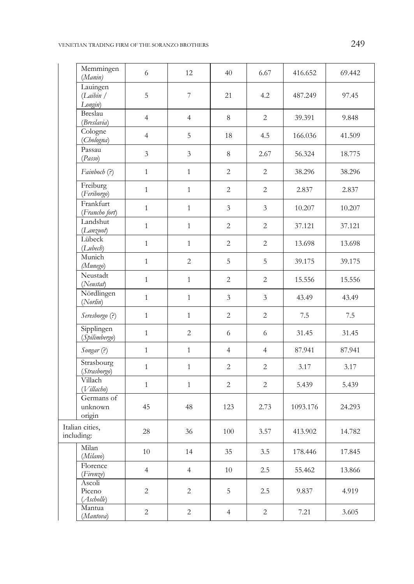# VENETIAN TRADING FIRM OF THE SORANZO BROTHERS 249

| Memmingen<br>(Manin)             | 6              | 12                       | 40             | 6.67           | 416.652  | 69.442 |
|----------------------------------|----------------|--------------------------|----------------|----------------|----------|--------|
| Lauingen<br>(Laibin /<br>Longin) | $\overline{5}$ | $\overline{\phantom{a}}$ | 21             | 4.2            | 487.249  | 97.45  |
| Breslau<br>(Breslavia)           | $\overline{4}$ | $\overline{4}$           | 8              | $\overline{2}$ | 39.391   | 9.848  |
| Cologne<br>(Chologna)            | $\overline{4}$ | 5                        | 18             | 4.5            | 166.036  | 41.509 |
| Passau<br>(Passo)                | $\mathfrak{Z}$ | $\mathfrak{Z}$           | 8              | 2.67           | 56.324   | 18.775 |
| Fainboch (?)                     | $\mathbf{1}$   | $\mathbf{1}$             | $\overline{c}$ | 2              | 38.296   | 38.296 |
| Freiburg<br>(Feriborgo)          | $\mathbf{1}$   | $\mathbf{1}$             | $\overline{2}$ | $\overline{2}$ | 2.837    | 2.837  |
| Frankfurt<br>(Francho fort)      | $\mathbf{1}$   | $\mathbf{1}$             | 3              | $\mathfrak{Z}$ | 10.207   | 10.207 |
| Landshut<br>(Lanzuot)            | $\mathbf{1}$   | $\mathbf{1}$             | $\overline{2}$ | $\overline{2}$ | 37.121   | 37.121 |
| Lübeck<br>(Lubech)               | $\mathbf{1}$   | $\mathbf{1}$             | $\overline{2}$ | $\overline{2}$ | 13.698   | 13.698 |
| Munich<br>(Munego)               | $\mathbf{1}$   | $\overline{c}$           | 5              | $\sqrt{5}$     | 39.175   | 39.175 |
| Neustadt<br>(Neustat)            | $\mathbf{1}$   | $\mathbf{1}$             | $\overline{2}$ | $\overline{2}$ | 15.556   | 15.556 |
| Nördlingen<br>(Norlin)           | $\mathbf{1}$   | $\,1\,$                  | 3              | $\mathfrak{Z}$ | 43.49    | 43.49  |
| Seresborgo (?)                   | $\mathbf{1}$   | $\mathbf{1}$             | $\overline{c}$ | $\overline{2}$ | 7.5      | 7.5    |
| Sipplingen<br>(Spilimbergo)      | $\mathbf{1}$   | $\overline{2}$           | 6              | 6              | 31.45    | 31.45  |
| Songar (?)                       | $\mathbf{1}$   | $\,1\,$                  | $\overline{4}$ | $\overline{4}$ | 87.941   | 87.941 |
| Strasbourg<br>(Strasborgo)       | $\mathbf{1}$   | $\mathbf{1}$             | $\overline{2}$ | $\overline{2}$ | 3.17     | 3.17   |
| Villach<br>(Villacho)            | $\mathbf{1}$   | $\mathbf{1}$             | $\overline{2}$ | $\overline{2}$ | 5.439    | 5.439  |
| Germans of<br>unknown<br>origin  | 45             | 48                       | 123            | 2.73           | 1093.176 | 24.293 |
| Italian cities,<br>including:    | 28             | 36                       | 100            | 3.57           | 413.902  | 14.782 |
| Milan<br>(Milano)                | 10             | 14                       | 35             | 3.5            | 178.446  | 17.845 |
| Florence<br>(Firenze)            | $\overline{4}$ | $\overline{4}$           | 10             | 2.5            | 55.462   | 13.866 |
| Ascoli<br>Piceno<br>(Ascholle)   | $\overline{c}$ | 2                        | 5              | 2.5            | 9.837    | 4.919  |
| Mantua<br>(Mantova)              | 2              | 2                        | 4              | $\overline{c}$ | 7.21     | 3.605  |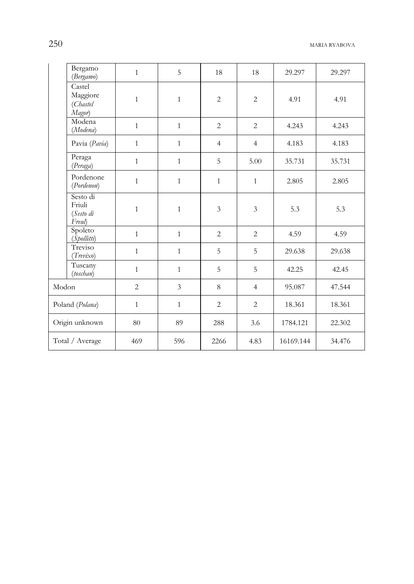|                 | Bergamo<br>(Bergamo)                      | $\mathbf{1}$   | 5              | 18             | 18             | 29.297    | 29.297 |
|-----------------|-------------------------------------------|----------------|----------------|----------------|----------------|-----------|--------|
|                 | Castel<br>Maggiore<br>(Chastel<br>Magor)  | $\mathbf{1}$   | $\mathbf{1}$   | $\overline{c}$ | $\overline{2}$ | 4.91      | 4.91   |
|                 | Modena<br>(Modena)                        | $\mathbf{1}$   | $\mathbf{1}$   | $\overline{2}$ | $\overline{2}$ | 4.243     | 4.243  |
|                 | Pavia (Pavia)                             | $\mathbf{1}$   | $\mathbf{1}$   | $\overline{4}$ | $\overline{4}$ | 4.183     | 4.183  |
|                 | Peraga<br>(Peraga)                        | $\mathbf{1}$   | $\mathbf{1}$   | 5              | 5.00           | 35.731    | 35.731 |
|                 | Pordenone<br>(Pordenon)                   | $\mathbf{1}$   | $\mathbf{1}$   | $\mathbf{1}$   | $\mathbf{1}$   | 2.805     | 2.805  |
|                 | Sesto di<br>Friuli<br>(Sesto di<br>Freul) | $\mathbf{1}$   | $\mathbf{1}$   | $\overline{3}$ | $\mathfrak{Z}$ | 5.3       | 5.3    |
|                 | Spoleto<br>(Spollitti)                    | $\mathbf{1}$   | $\mathbf{1}$   | $\overline{2}$ | 2              | 4.59      | 4.59   |
|                 | Treviso<br>(Trevixo)                      | $\mathbf{1}$   | $\mathbf{1}$   | 5              | 5              | 29.638    | 29.638 |
|                 | Tuscany<br>(toschan)                      | $\mathbf{1}$   | $\mathbf{1}$   | 5              | 5              | 42.25     | 42.45  |
| Modon           |                                           | $\overline{2}$ | $\overline{3}$ | 8              | $\overline{4}$ | 95.087    | 47.544 |
| Poland (Polana) |                                           | $\mathbf{1}$   | $\mathbf{1}$   | $\overline{2}$ | $\overline{2}$ | 18.361    | 18.361 |
| Origin unknown  |                                           | 80             | 89             | 288            | 3.6            | 1784.121  | 22.302 |
| Total / Average |                                           | 469            | 596            | 2266           | 4.83           | 16169.144 | 34.476 |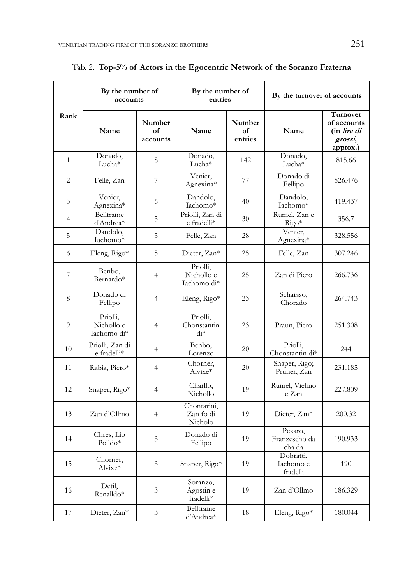|                | By the number of<br>accounts          |                          | By the number of<br>entries           |                         | By the turnover of accounts        |                                                               |
|----------------|---------------------------------------|--------------------------|---------------------------------------|-------------------------|------------------------------------|---------------------------------------------------------------|
| Rank           | Name                                  | Number<br>of<br>accounts | Name                                  | Number<br>of<br>entries | Name                               | Turnover<br>of accounts<br>(in lire di<br>grossi,<br>approx.) |
| $\overline{1}$ | Donado,<br>Lucha*                     | 8                        | Donado,<br>Lucha*                     | 142                     | Donado,<br>Lucha*                  | 815.66                                                        |
| 2              | Felle, Zan                            | 7                        | Venier,<br>Agnexina*                  | 77                      | Donado di<br>Fellipo               | 526.476                                                       |
| 3              | Venier,<br>Agnexina*                  | 6                        | Dandolo,<br>Iachomo*                  | 40                      | Dandolo,<br>Iachomo*               | 419.437                                                       |
| $\overline{4}$ | Belltrame<br>d'Andrea*                | 5                        | Priolli, Zan di<br>e fradelli*        | 30                      | Rumel, Zan e<br>$Rigo*$            | 356.7                                                         |
| 5              | Dandolo,<br>Iachomo*                  | 5                        | Felle, Zan                            | 28                      | Venier,<br>Agnexina*               | 328.556                                                       |
| 6              | Eleng, $Rigo*$                        | 5                        | Dieter, Zan*                          | 25                      | Felle, Zan                         | 307.246                                                       |
| 7              | Benbo,<br>Bernardo*                   | $\overline{4}$           | Priolli,<br>Nichollo e<br>Iachomo di* | 25                      | Zan di Piero                       | 266.736                                                       |
| 8              | Donado di<br>Fellipo                  | $\overline{4}$           | Eleng, Rigo*                          | 23                      | Scharsso,<br>Chorado               | 264.743                                                       |
| 9              | Priolli,<br>Nichollo e<br>Iachomo di* | $\overline{4}$           | Priolli,<br>Chonstantin<br>$di*$      | 23                      | Praun, Piero                       | 251.308                                                       |
| 10             | Priolli, Zan di<br>e fradelli*        | $\overline{4}$           | Benbo,<br>Lorenzo                     | 20                      | Priolli,<br>Chonstantin di*        | 244                                                           |
| 11             | Rabia, Piero*                         | $\overline{4}$           | Chorner,<br>Alvixe*                   | 20                      | Snaper, Rigo;<br>Pruner, Zan       | 231.185                                                       |
| 12             | Snaper, Rigo*                         | 4                        | Charllo,<br>Nichollo                  | 19                      | Rumel, Vielmo<br>e Zan             | 227.809                                                       |
| 13             | Zan d'Ollmo                           | $\overline{4}$           | Chontarini,<br>Zan fo di<br>Nicholo   | 19                      | Dieter, Zan*                       | 200.32                                                        |
| 14             | Chres, Lio<br>$Polldo*$               | 3                        | Donado di<br>Fellipo                  | 19                      | Pexaro.<br>Franzescho da<br>cha da | 190.933                                                       |
| 15             | Chorner,<br>Alvixe*                   | 3                        | Snaper, Rigo*                         | 19                      | Dobratti,<br>Iachomo e<br>fradelli | 190                                                           |
| 16             | Detil,<br>Renalldo*                   | 3                        | Soranzo,<br>Agostin e<br>fradelli*    | 19                      | Zan d'Ollmo                        | 186.329                                                       |
| 17             | Dieter, Zan*                          | 3                        | Belltrame<br>d'Andrea*                | 18                      | Eleng, Rigo*                       | 180.044                                                       |

Tab. 2. **Top-5% of Actors in the Egocentric Network of the Soranzo Fraterna** 

 $\overline{a}$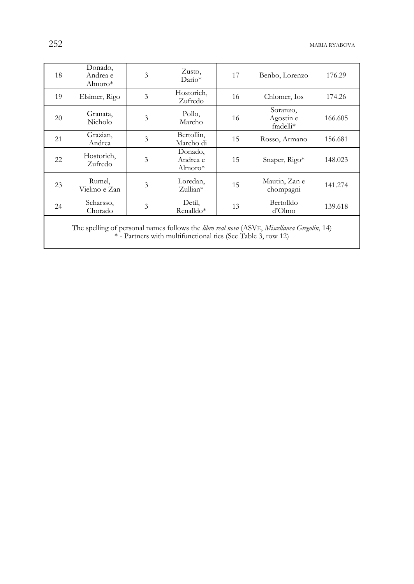| 18                                                                                                                                                                   | Donado,<br>Andrea e<br>Almoro $*$ | 3 | Zusto,<br>$Dario*$                | 17 | Benbo, Lorenzo                     | 176.29  |  |
|----------------------------------------------------------------------------------------------------------------------------------------------------------------------|-----------------------------------|---|-----------------------------------|----|------------------------------------|---------|--|
| 19                                                                                                                                                                   | Elsimer, Rigo                     | 3 | Hostorich,<br>Zufredo             | 16 | Chlomer, Ios                       | 174.26  |  |
| 20                                                                                                                                                                   | Granata,<br>Nicholo               | 3 | Pollo,<br>Marcho                  | 16 | Soranzo,<br>Agostin e<br>fradelli* | 166.605 |  |
| 21                                                                                                                                                                   | Grazian,<br>Andrea                | 3 | Bertollin,<br>Marcho di           | 15 | Rosso, Armano                      | 156.681 |  |
| 22                                                                                                                                                                   | Hostorich,<br>Zufredo             | 3 | Donado,<br>Andrea e<br>Almoro $*$ | 15 | Snaper, Rigo*                      | 148.023 |  |
| 23                                                                                                                                                                   | Rumel,<br>Vielmo e Zan            | 3 | Loredan,<br>$Z$ ullian*           | 15 | Mautin, Zan e<br>chompagni         | 141.274 |  |
| 24                                                                                                                                                                   | Scharsso,<br>Chorado              | 3 | Detil,<br>Renalldo*               | 13 | Bertolldo<br>d'Olmo                | 139.618 |  |
| $\sim$ 11 $\sim$ 11 $\sim$ 11 $\sim$ 11 $\sim$ 11 $\sim$ 11 $\sim$ 11 $\sim$ 11 $\sim$ 11 $\sim$ 11 $\sim$ 11 $\sim$ 11 $\sim$<br>$-11$<br>$\cdots$<br>$\sim$ $\sim$ |                                   |   |                                   |    |                                    |         |  |

The spelling of personal names follows the *libro real novo* (ASVE, *Miscellanea Gregolin*, 14) \* - Partners with multifunctional ties (See Table 3, row 12)